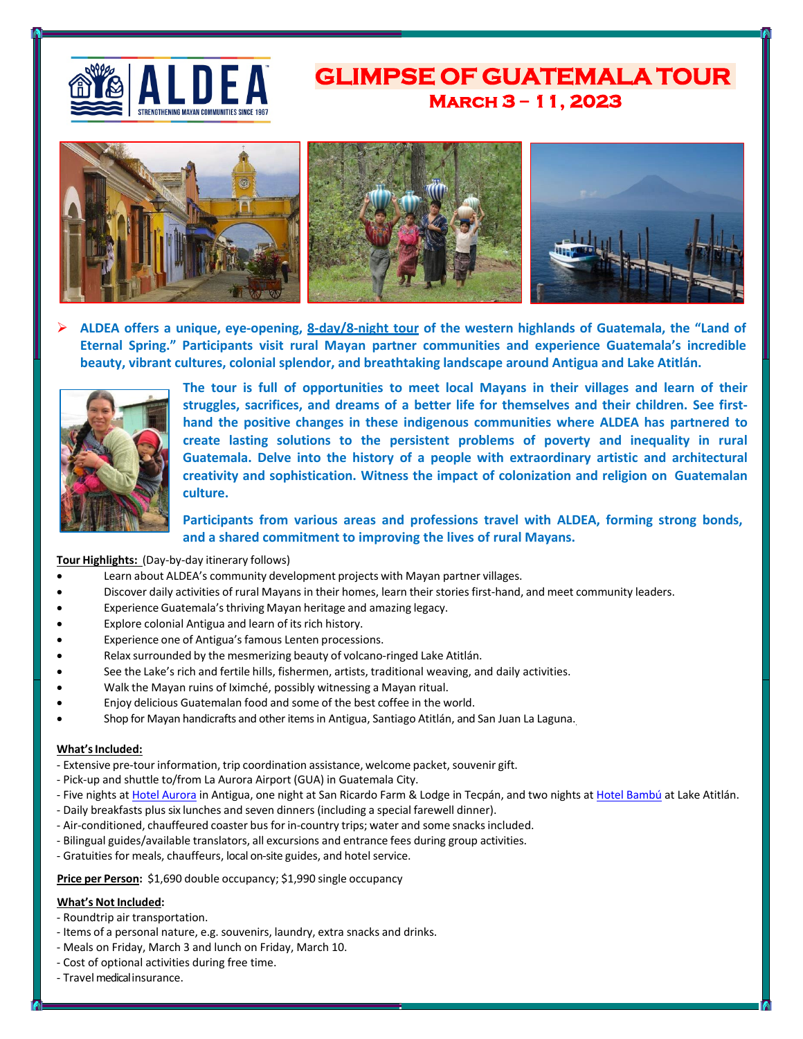

# **March 3 – 11, 2023 GLIMPSE OF GUATEMALA TOUR**



 **ALDEA offers a unique, eye-opening, 8-day/8-night tour of the western highlands of Guatemala, the "Land of Eternal Spring." Participants visit rural Mayan partner communities and experience Guatemala's incredible beauty, vibrant cultures, colonial splendor, and breathtaking landscape around Antigua and Lake Atitlán.**



**The tour is full of opportunities to meet local Mayans in their villages and learn of their struggles, sacrifices, and dreams of a better life for themselves and their children. See firsthand the positive changes in these indigenous communities where ALDEA has partnered to create lasting solutions to the persistent problems of poverty and inequality in rural Guatemala. Delve into the history of a people with extraordinary artistic and architectural creativity and sophistication. Witness the impact of colonization and religion on Guatemalan culture.**

## **Participants from various areas and professions travel with ALDEA, forming strong bonds, and a shared commitment to improving the lives of rural Mayans.**

## **Tour Highlights:** (Day-by-day itinerary follows)

- Learn about ALDEA's community development projects with Mayan partner villages.
- Discover daily activities of rural Mayans in their homes, learn their stories first-hand, and meet community leaders.
- Experience Guatemala'sthriving Mayan heritage and amazing legacy.
- Explore colonial Antigua and learn of its rich history.
- Experience one of Antigua's famous Lenten processions.
- Relax surrounded by the mesmerizing beauty of volcano-ringed Lake Atitlán.
- See the Lake's rich and fertile hills, fishermen, artists, traditional weaving, and daily activities.
- Walk the Mayan ruins of Iximché, possibly witnessing a Mayan ritual.
- Enjoy delicious Guatemalan food and some of the best coffee in the world.
- Shop for Mayan handicrafts and other items in Antigua, Santiago Atitlán, and San Juan La Laguna.

#### **What's Included:**

- Extensive pre-tour information, trip coordination assistance, welcome packet, souvenir gift.
- Pick-up and shuttle to/from La Aurora Airport (GUA) in Guatemala City.
- Five nights at [Hotel Aurora](http://www.hotelauroraantigua.com/en/) in Antigua, one night at San Ricardo Farm & Lodge in Tecpán, and two nights at [Hotel Bambú](http://ecobambu.com/hotel-atitlan-lake-guatemala/) at Lake Atitlán.
- Daily breakfasts plus six lunches and seven dinners (including a special farewell dinner).
- Air-conditioned, chauffeured coaster bus for in-country trips; water and some snacksincluded.
- Bilingual guides/available translators, all excursions and entrance fees during group activities.
- Gratuities for meals, chauffeurs, local on-site guides, and hotel service.

**Price per Person:** \$1,690 double occupancy; \$1,990 single occupancy

## **What's Not Included:**

- Roundtrip air transportation.
- Items of a personal nature, e.g. souvenirs, laundry, extra snacks and drinks.
- Meals on Friday, March 3 and lunch on Friday, March 10.
- Cost of optional activities during free time.
- Travel medical insurance.